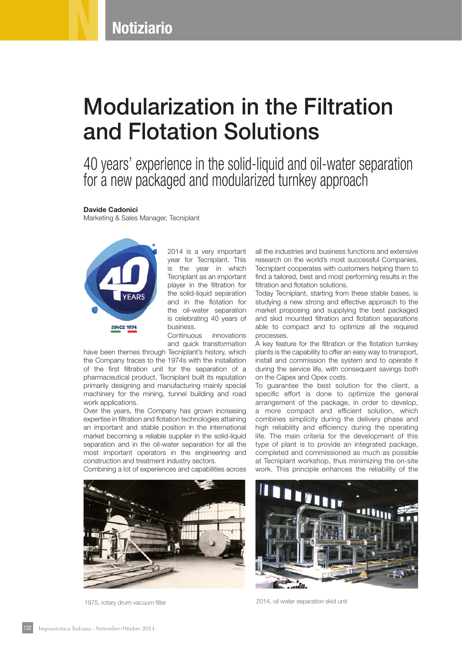**Notiziario** 

## Modularization in the Filtration and Flotation Solutions

40 years' experience in the solid-liquid and oil-water separation for a new packaged and modularized turnkey approach

## Davide Cadonici Marketing & Sales Manager, Tecniplant



2014 is a very important year for Tecniplant. This is the year in which Tecniplant as an important player in the filtration for the solid-liquid separation and in the flotation for the oil-water separation is celebrating 40 years of business.

Continuous innovations and quick transformation

have been themes through Tecniplant's history, which the Company traces to the 1974s with the installation of the first filtration unit for the separation of a pharmaceutical product. Tecniplant built its reputation primarily designing and manufacturing mainly special machinery for the mining, tunnel building and road work applications.

Over the years, the Company has grown increasing expertise in filtration and flotation technologies attaining an important and stable position in the international market becoming a reliable supplier in the solid-liquid separation and in the oil-water separation for all the most important operators in the engineering and construction and treatment industry sectors.

Combining a lot of experiences and capabilities across



all the industries and business functions and extensive research on the world's most successful Companies, Tecniplant cooperates with customers helping them to find a tailored, best and most performing results in the filtration and flotation solutions.

Today Tecniplant, starting from these stable bases, is studying a new strong and effective approach to the market proposing and supplying the best packaged and skid mounted filtration and flotation separations able to compact and to optimize all the required processes.

A key feature for the filtration or the flotation turnkey plants is the capability to offer an easy way to transport, install and commission the system and to operate it during the service life, with consequent savings both on the Capex and Opex costs.

To guarantee the best solution for the client, a specific effort is done to optimize the general arrangement of the package, in order to develop, a more compact and efficient solution, which combines simplicity during the delivery phase and high reliability and efficiency during the operating life. The main criteria for the development of this type of plant is to provide an integrated package, completed and commissioned as much as possible at Tecniplant workshop, thus minimizing the on-site work. This principle enhances the reliability of the



1975, rotary drum vacuum filter 2014, oil water separation skid unit